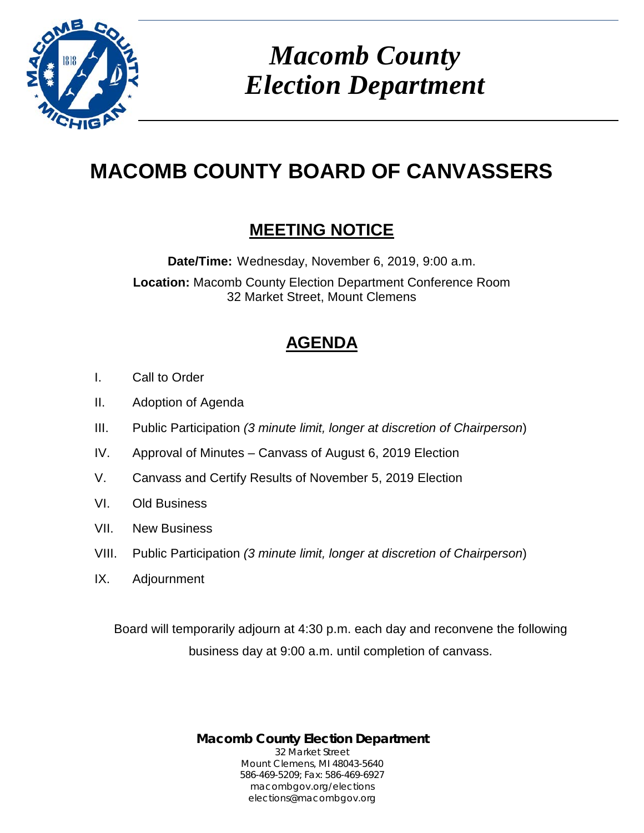

*Macomb County Election Department*

# **MACOMB COUNTY BOARD OF CANVASSERS**

# **MEETING NOTICE**

**Date/Time:** Wednesday, November 6, 2019, 9:00 a.m.

**Location:** Macomb County Election Department Conference Room 32 Market Street, Mount Clemens

# **AGENDA**

- I. Call to Order
- II. Adoption of Agenda
- III. Public Participation *(3 minute limit, longer at discretion of Chairperson*)
- IV. Approval of Minutes Canvass of August 6, 2019 Election
- V. Canvass and Certify Results of November 5, 2019 Election
- VI. Old Business
- VII. New Business
- VIII. Public Participation *(3 minute limit, longer at discretion of Chairperson*)
- IX. Adjournment

Board will temporarily adjourn at 4:30 p.m. each day and reconvene the following business day at 9:00 a.m. until completion of canvass.

> **Macomb County Election Department** 32 Market Street Mount Clemens, MI 48043-5640 586-469-5209; Fax: 586-469-6927 macombgov.org/elections elections@macombgov.org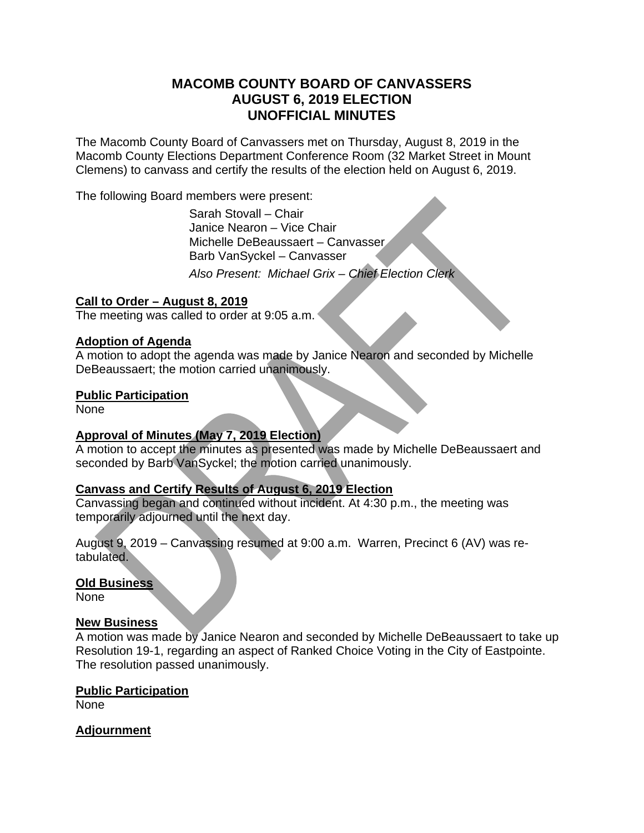# **MACOMB COUNTY BOARD OF CANVASSERS AUGUST 6, 2019 ELECTION UNOFFICIAL MINUTES**

The Macomb County Board of Canvassers met on Thursday, August 8, 2019 in the Macomb County Elections Department Conference Room (32 Market Street in Mount Clemens) to canvass and certify the results of the election held on August 6, 2019.

The following Board members were present:

 Sarah Stovall – Chair Janice Nearon – Vice Chair Michelle DeBeaussaert – Canvasser Barb VanSyckel – Canvasser *Also Present: Michael Grix – Chief Election Clerk* 

## **Call to Order – August 8, 2019**

The meeting was called to order at 9:05 a.m.

### **Adoption of Agenda**

A motion to adopt the agenda was made by Janice Nearon and seconded by Michelle DeBeaussaert; the motion carried unanimously.

### **Public Participation**

None

# **Approval of Minutes (May 7, 2019 Election)**

A motion to accept the minutes as presented was made by Michelle DeBeaussaert and seconded by Barb VanSyckel; the motion carried unanimously.

# **Canvass and Certify Results of August 6, 2019 Election**

Canvassing began and continued without incident. At 4:30 p.m., the meeting was temporarily adjourned until the next day.

August 9, 2019 – Canvassing resumed at 9:00 a.m. Warren, Precinct 6 (AV) was retabulated.

### **Old Business**

**None** 

### **New Business**

A motion was made by Janice Nearon and seconded by Michelle DeBeaussaert to take up Resolution 19-1, regarding an aspect of Ranked Choice Voting in the City of Eastpointe. The resolution passed unanimously.

### **Public Participation**

None

### **Adjournment**